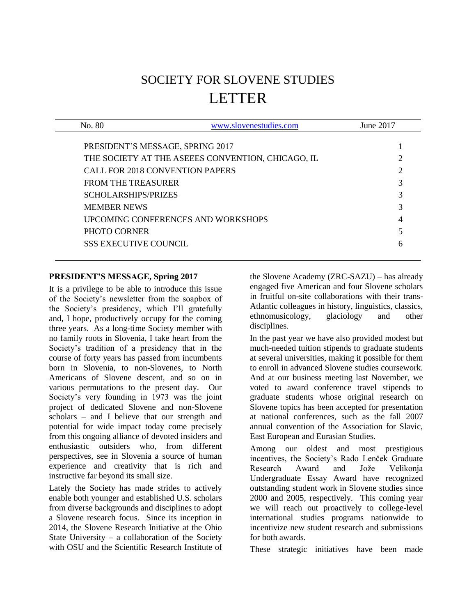# SOCIETY FOR SLOVENE STUDIES LETTER

| No. 80                                 | www.slovenestudies.com                            | June 2017 |
|----------------------------------------|---------------------------------------------------|-----------|
|                                        |                                                   |           |
| PRESIDENT'S MESSAGE, SPRING 2017       |                                                   |           |
|                                        | THE SOCIETY AT THE ASEEES CONVENTION, CHICAGO, IL | റ         |
| <b>CALL FOR 2018 CONVENTION PAPERS</b> |                                                   | 2         |
| FROM THE TREASURER                     |                                                   | 3         |
| <b>SCHOLARSHIPS/PRIZES</b>             |                                                   | 3         |
| <b>MEMBER NEWS</b>                     |                                                   | 3         |
|                                        | UPCOMING CONFERENCES AND WORKSHOPS                |           |
| PHOTO CORNER                           |                                                   |           |
| <b>SSS EXECUTIVE COUNCIL</b>           |                                                   | 6         |

## <span id="page-0-0"></span>**PRESIDENT'S MESSAGE, Spring 2017**

It is a privilege to be able to introduce this issue of the Society's newsletter from the soapbox of the Society's presidency, which I'll gratefully and, I hope, productively occupy for the coming three years. As a long-time Society member with no family roots in Slovenia, I take heart from the Society's tradition of a presidency that in the course of forty years has passed from incumbents born in Slovenia, to non-Slovenes, to North Americans of Slovene descent, and so on in various permutations to the present day. Our Society's very founding in 1973 was the joint project of dedicated Slovene and non-Slovene scholars – and I believe that our strength and potential for wide impact today come precisely from this ongoing alliance of devoted insiders and enthusiastic outsiders who, from different perspectives, see in Slovenia a source of human experience and creativity that is rich and instructive far beyond its small size.

Lately the Society has made strides to actively enable both younger and established U.S. scholars from diverse backgrounds and disciplines to adopt a Slovene research focus. Since its inception in 2014, the Slovene Research Initiative at the Ohio State University – a collaboration of the Society with OSU and the Scientific Research Institute of the Slovene Academy (ZRC-SAZU) – has already engaged five American and four Slovene scholars in fruitful on-site collaborations with their trans-Atlantic colleagues in history, linguistics, classics, ethnomusicology, glaciology and other disciplines.

In the past year we have also provided modest but much-needed tuition stipends to graduate students at several universities, making it possible for them to enroll in advanced Slovene studies coursework. And at our business meeting last November, we voted to award conference travel stipends to graduate students whose original research on Slovene topics has been accepted for presentation at national conferences, such as the fall 2007 annual convention of the Association for Slavic, East European and Eurasian Studies.

Among our oldest and most prestigious incentives, the Society's Rado Lenček Graduate Research Award and Jože Velikonja Undergraduate Essay Award have recognized outstanding student work in Slovene studies since 2000 and 2005, respectively. This coming year we will reach out proactively to college-level international studies programs nationwide to incentivize new student research and submissions for both awards.

These strategic initiatives have been made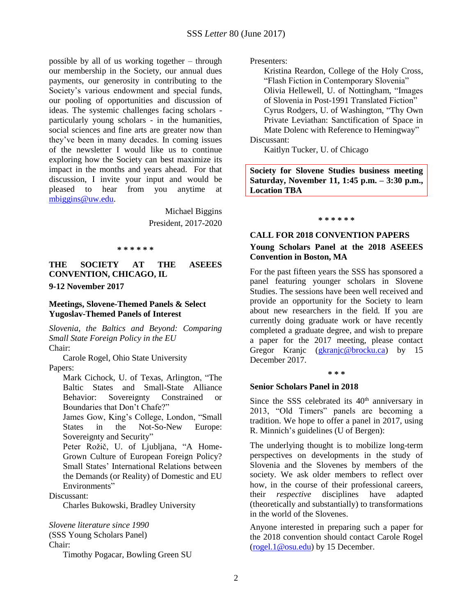possible by all of us working together – through our membership in the Society, our annual dues payments, our generosity in contributing to the Society's various endowment and special funds, our pooling of opportunities and discussion of ideas. The systemic challenges facing scholars particularly young scholars - in the humanities, social sciences and fine arts are greater now than they've been in many decades. In coming issues of the newsletter I would like us to continue exploring how the Society can best maximize its impact in the months and years ahead. For that discussion, I invite your input and would be pleased to hear from you anytime at [mbiggins@uw.edu.](mailto:mbiggins@uw.edu)

> Michael Biggins President, 2017-2020

#### **\* \* \* \* \* \***

<span id="page-1-0"></span>**THE SOCIETY AT THE ASEEES CONVENTION, CHICAGO, IL 9-12 November 2017**

## **Meetings, Slovene-Themed Panels & Select Yugoslav-Themed Panels of Interest**

*Slovenia, the Baltics and Beyond: Comparing Small State Foreign Policy in the EU* Chair:

Carole Rogel, Ohio State University Papers:

Mark Cichock, U. of Texas, Arlington, "The Baltic States and Small-State Alliance Behavior: Sovereignty Constrained or Boundaries that Don't Chafe?"

James Gow, King's College, London, "Small States in the Not-So-New Europe: Sovereignty and Security"

Peter Rožič, U. of Ljubljana, "A Home-Grown Culture of European Foreign Policy? Small States' International Relations between the Demands (or Reality) of Domestic and EU Environments"

Discussant:

Charles Bukowski, Bradley University

*Slovene literature since 1990*

(SSS Young Scholars Panel)

Chair:

Timothy Pogacar, Bowling Green SU

Presenters:

Kristina Reardon, College of the Holy Cross, "Flash Fiction in Contemporary Slovenia" Olivia Hellewell, U. of Nottingham, "Images of Slovenia in Post-1991 Translated Fiction" Cyrus Rodgers, U. of Washington, "Thy Own Private Leviathan: Sanctification of Space in Mate Dolenc with Reference to Hemingway" Discussant:

Kaitlyn Tucker, U. of Chicago

**Society for Slovene Studies business meeting Saturday, November 11, 1:45 p.m. – 3:30 p.m., Location TBA**

**\* \* \* \* \* \***

## <span id="page-1-1"></span>**CALL FOR 2018 CONVENTION PAPERS**

## **Young Scholars Panel at the 2018 ASEEES Convention in Boston, MA**

For the past fifteen years the SSS has sponsored a panel featuring younger scholars in Slovene Studies. The sessions have been well received and provide an opportunity for the Society to learn about new researchers in the field. If you are currently doing graduate work or have recently completed a graduate degree, and wish to prepare a paper for the 2017 meeting, please contact Gregor Kranjc [\(gkranjc@brocku.ca\)](mailto:gkranjc@brocku.ca) by 15 December 2017.

#### **\* \* \***

## **Senior Scholars Panel in 2018**

Since the SSS celebrated its 40<sup>th</sup> anniversary in 2013, "Old Timers" panels are becoming a tradition. We hope to offer a panel in 2017, using R. Minnich's guidelines (U of Bergen):

The underlying thought is to mobilize long-term perspectives on developments in the study of Slovenia and the Slovenes by members of the society. We ask older members to reflect over how, in the course of their professional careers, their *respective* disciplines have adapted (theoretically and substantially) to transformations in the world of the Slovenes.

Anyone interested in preparing such a paper for the 2018 convention should contact Carole Rogel [\(rogel.1@osu.edu\)](mailto:rogel.1@osu.edu) by 15 December.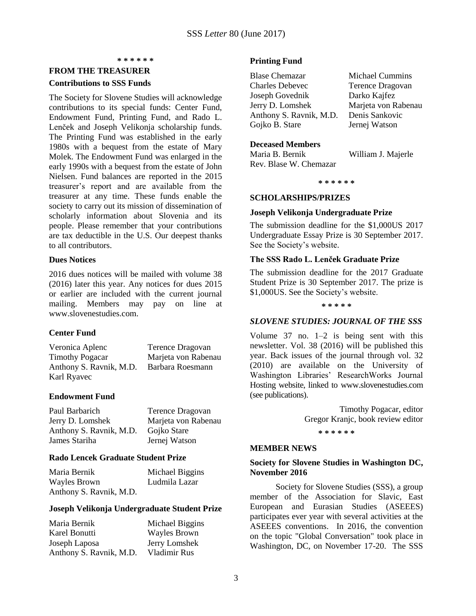#### **\* \* \* \* \* \***

## <span id="page-2-0"></span>**FROM THE TREASURER**

#### **Contributions to SSS Funds**

The Society for Slovene Studies will acknowledge contributions to its special funds: Center Fund, Endowment Fund, Printing Fund, and Rado L. Lenček and Joseph Velikonja scholarship funds. The Printing Fund was established in the early 1980s with a bequest from the estate of Mary Molek. The Endowment Fund was enlarged in the early 1990s with a bequest from the estate of John Nielsen. Fund balances are reported in the 2015 treasurer's report and are available from the treasurer at any time. These funds enable the society to carry out its mission of dissemination of scholarly information about Slovenia and its people. Please remember that your contributions are tax deductible in the U.S. Our deepest thanks to all contributors.

#### **Dues Notices**

2016 dues notices will be mailed with volume 38 (2016) later this year. Any notices for dues 2015 or earlier are included with the current journal mailing. Members may pay on line at www.slovenestudies.com.

## **Center Fund**

Veronica Aplenc Terence Dragovan Timothy Pogacar Marjeta von Rabenau Anthony S. Ravnik, M.D. Barbara Roesmann Karl Ryavec

## **Endowment Fund**

| Paul Barbarich          | Terence Dragovan    |
|-------------------------|---------------------|
| Jerry D. Lomshek        | Marjeta von Rabenau |
| Anthony S. Ravnik, M.D. | Gojko Stare         |
| James Stariha           | Jernej Watson       |

## **Rado Lencek Graduate Student Prize**

| Maria Bernik            | Michael Biggins |
|-------------------------|-----------------|
| <b>Wayles Brown</b>     | Ludmila Lazar   |
| Anthony S. Ravnik, M.D. |                 |

#### **Joseph Velikonja Undergraduate Student Prize**

| Maria Bernik            | Michael Biggins     |
|-------------------------|---------------------|
| Karel Bonutti           | <b>Wayles Brown</b> |
| Joseph Laposa           | Jerry Lomshek       |
| Anthony S. Ravnik, M.D. | Vladimir Rus        |

#### **Printing Fund**

| <b>Blase Chemazar</b>   | <b>Michael Cummins</b> |
|-------------------------|------------------------|
| <b>Charles Debevec</b>  | Terence Dragovan       |
| Joseph Govednik         | Darko Kajfez           |
| Jerry D. Lomshek        | Marjeta von Rabenau    |
| Anthony S. Ravnik, M.D. | Denis Sankovic         |
| Gojko B. Stare          | Jernej Watson          |
|                         |                        |

#### **Deceased Members**

| Maria B. Bernik        | William J. Majerle |
|------------------------|--------------------|
| Rev. Blase W. Chemazar |                    |

**\* \* \* \* \* \***

#### <span id="page-2-1"></span>**SCHOLARSHIPS/PRIZES**

#### **Joseph Velikonja Undergraduate Prize**

The submission deadline for the \$1,000US 2017 Undergraduate Essay Prize is 30 September 2017. See the Society's website.

## **The SSS Rado L. Lenček Graduate Prize**

The submission deadline for the 2017 Graduate Student Prize is 30 September 2017. The prize is \$1,000US. See the Society's website.

#### **\* \* \* \* \***

## *SLOVENE STUDIES: JOURNAL OF THE SSS*

Volume 37 no. 1–2 is being sent with this newsletter. Vol. 38 (2016) will be published this year. Back issues of the journal through vol. 32 (2010) are available on the University of Washington Libraries' ResearchWorks Journal Hosting website, linked to www.slovenestudies.com (see publications).

> Timothy Pogacar, editor Gregor Kranjc, book review editor

> > **\* \* \* \* \* \***

#### <span id="page-2-2"></span>**MEMBER NEWS**

## **Society for Slovene Studies in Washington DC, November 2016**

 Society for Slovene Studies (SSS), a group member of the Association for Slavic, East European and Eurasian Studies (ASEEES) participates ever year with several activities at the ASEEES conventions. In 2016, the convention on the topic "Global Conversation" took place in Washington, DC, on November 17-20. The SSS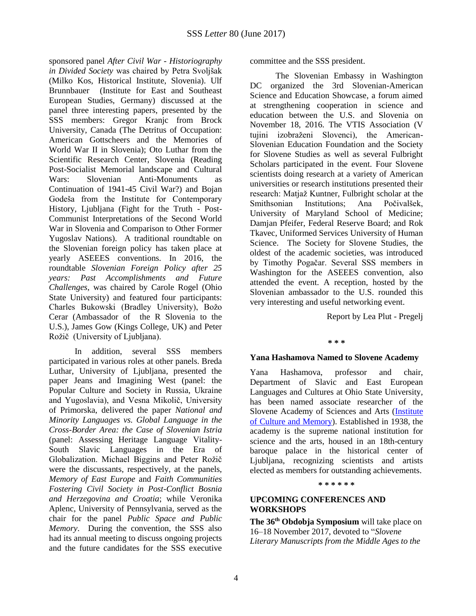sponsored panel *After Civil War - Historiography in Divided Society* was chaired by Petra Svoljšak (Milko Kos, Historical Institute, Slovenia). Ulf Brunnbauer (Institute for East and Southeast European Studies, Germany) discussed at the panel three interesting papers, presented by the SSS members: Gregor Kranjc from Brock University, Canada (The Detritus of Occupation: American Gottscheers and the Memories of World War II in Slovenia); Oto Luthar from the Scientific Research Center, Slovenia (Reading Post-Socialist Memorial landscape and Cultural Wars: Slovenian Anti-Monuments as Continuation of 1941-45 Civil War?) and Bojan Godeša from the Institute for Contemporary History, Ljubljana (Fight for the Truth - Post-Communist Interpretations of the Second World War in Slovenia and Comparison to Other Former Yugoslav Nations). A traditional roundtable on the Slovenian foreign policy has taken place at yearly ASEEES conventions. In 2016, the roundtable *Slovenian Foreign Policy after 25 years: Past Accomplishments and Future Challenges*, was chaired by Carole Rogel (Ohio State University) and featured four participants: Charles Bukowski (Bradley University), Božo Cerar (Ambassador of the R Slovenia to the U.S.), James Gow (Kings College, UK) and Peter Rožič (University of Ljubljana).

 In addition, several SSS members participated in various roles at other panels. Breda Luthar, University of Ljubljana, presented the paper Jeans and Imagining West (panel: the Popular Culture and Society in Russia, Ukraine and Yugoslavia), and Vesna Mikolič, University of Primorska, delivered the paper *National and Minority Languages vs. Global Language in the Cross-Border Area: the Case of Slovenian Istria* (panel: Assessing Heritage Language Vitality-South Slavic Languages in the Era of Globalization. Michael Biggins and Peter Rožič were the discussants, respectively, at the panels, *Memory of East Europe* and *Faith Communities Fostering Civil Society in Post-Conflict Bosnia and Herzegovina and Croatia*; while Veronika Aplenc, University of Pennsylvania, served as the chair for the panel *Public Space and Public Memory*. During the convention, the SSS also had its annual meeting to discuss ongoing projects and the future candidates for the SSS executive

committee and the SSS president.

 The Slovenian Embassy in Washington DC organized the 3rd Slovenian-American Science and Education Showcase, a forum aimed at strengthening cooperation in science and education between the U.S. and Slovenia on November 18, 2016. The VTIS Association (V tujini izobraženi Slovenci), the American-Slovenian Education Foundation and the Society for Slovene Studies as well as several Fulbright Scholars participated in the event. Four Slovene scientists doing research at a variety of American universities or research institutions presented their research: Matjaž Kuntner, Fulbright scholar at the Smithsonian Institutions; Ana Počivalšek, University of Maryland School of Medicine; Damjan Pfeifer, Federal Reserve Board; and Rok Tkavec, Uniformed Services University of Human Science. The Society for Slovene Studies, the oldest of the academic societies, was introduced by Timothy Pogačar. Several SSS members in Washington for the ASEEES convention, also attended the event. A reception, hosted by the Slovenian ambassador to the U.S. rounded this very interesting and useful networking event.

Report by Lea Plut - Pregelj

## **\* \* \***

## **Yana Hashamova Named to Slovene Academy**

Yana Hashamova, professor and chair, Department of Slavic and East European Languages and Cultures at Ohio State University, has been named associate researcher of the Slovene Academy of Sciences and Arts [\(Institute](http://ikss.zrc-sazu.si/en/sodelavci/yana-hashamova-en#v)  [of Culture and Memory\)](http://ikss.zrc-sazu.si/en/sodelavci/yana-hashamova-en#v). Established in 1938, the academy is the supreme national institution for science and the arts, housed in an 18th-century baroque palace in the historical center of Ljubljana, recognizing scientists and artists elected as members for outstanding achievements.

#### **\* \* \* \* \* \***

## <span id="page-3-0"></span>**UPCOMING CONFERENCES AND WORKSHOPS**

**The 36 th Obdobja Symposium** will take place on 16–18 November 2017, devoted to "*Slovene Literary Manuscripts from the Middle Ages to the*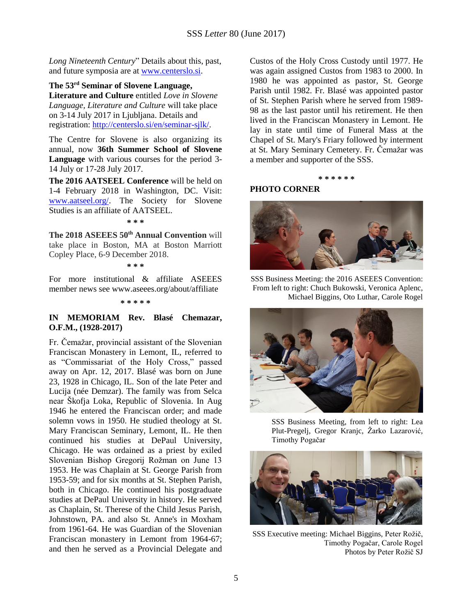*Long Nineteenth Century*" Details about this, past, and future symposia are at [www.centerslo.si.](http://www.centerslo.si/)

**The 53 rd Seminar of Slovene Language, Literature and Culture** entitled *Love in Slovene Language, Literature and Culture* will take place on 3-14 July 2017 in Ljubljana. Details and registration: [http://centerslo.si/en/seminar-sjlk/.](http://centerslo.si/en/seminar-sjlk/)

The Centre for Slovene is also organizing its annual, now **36th Summer School of Slovene Language** with various courses for the period 3- 14 July or 17-28 July 2017.

**The 2016 AATSEEL Conference** will be held on 1-4 February 2018 in Washington, DC. Visit: [www.aatseel.org/.](http://www.aatseel.org/) The Society for Slovene Studies is an affiliate of AATSEEL.

**\* \* \***

**The 2018 ASEEES 50th Annual Convention** will take place in Boston, MA at Boston Marriott Copley Place, 6-9 December 2018.

**\* \* \***

For more institutional & affiliate ASEEES member news see www.aseees.org/about/affiliate

**\* \* \* \* \***

## **IN MEMORIAM Rev. Blasé Chemazar, O.F.M., (1928-2017)**

Fr. Čemažar, provincial assistant of the Slovenian Franciscan Monastery in Lemont, IL, referred to as "Commissariat of the Holy Cross," passed away on Apr. 12, 2017. Blasé was born on June 23, 1928 in Chicago, IL. Son of the late Peter and Lucija (née Demzar). The family was from Selca near Škofja Loka, Republic of Slovenia. In Aug 1946 he entered the Franciscan order; and made solemn vows in 1950. He studied theology at St. Mary Franciscan Seminary, Lemont, IL. He then continued his studies at DePaul University, Chicago. He was ordained as a priest by exiled Slovenian Bishop Gregorij Rožman on June 13 1953. He was Chaplain at St. George Parish from 1953-59; and for six months at St. Stephen Parish, both in Chicago. He continued his postgraduate studies at DePaul University in history. He served as Chaplain, St. Therese of the Child Jesus Parish, Johnstown, PA. and also St. Anne's in Moxham from 1961-64. He was Guardian of the Slovenian Franciscan monastery in Lemont from 1964-67; and then he served as a Provincial Delegate and

Custos of the Holy Cross Custody until 1977. He was again assigned Custos from 1983 to 2000. In 1980 he was appointed as pastor, St. George Parish until 1982. Fr. Blasé was appointed pastor of St. Stephen Parish where he served from 1989- 98 as the last pastor until his retirement. He then lived in the Franciscan Monastery in Lemont. He lay in state until time of Funeral Mass at the Chapel of St. Mary's Friary followed by interment at St. Mary Seminary Cemetery. Fr. Čemažar was a member and supporter of the SSS.

#### **\* \* \* \* \* \***

## <span id="page-4-0"></span>**PHOTO CORNER**



SSS Business Meeting: the 2016 ASEEES Convention: From left to right: Chuch Bukowski, Veronica Aplenc, Michael Biggins, Oto Luthar, Carole Rogel



SSS Business Meeting, from left to right: Lea Plut-Pregelj, Gregor Kranjc, Žarko Lazarović, Timothy Pogačar



SSS Executive meeting: Michael Biggins, Peter Rožič, Timothy Pogačar, Carole Rogel Photos by Peter Rožič SJ